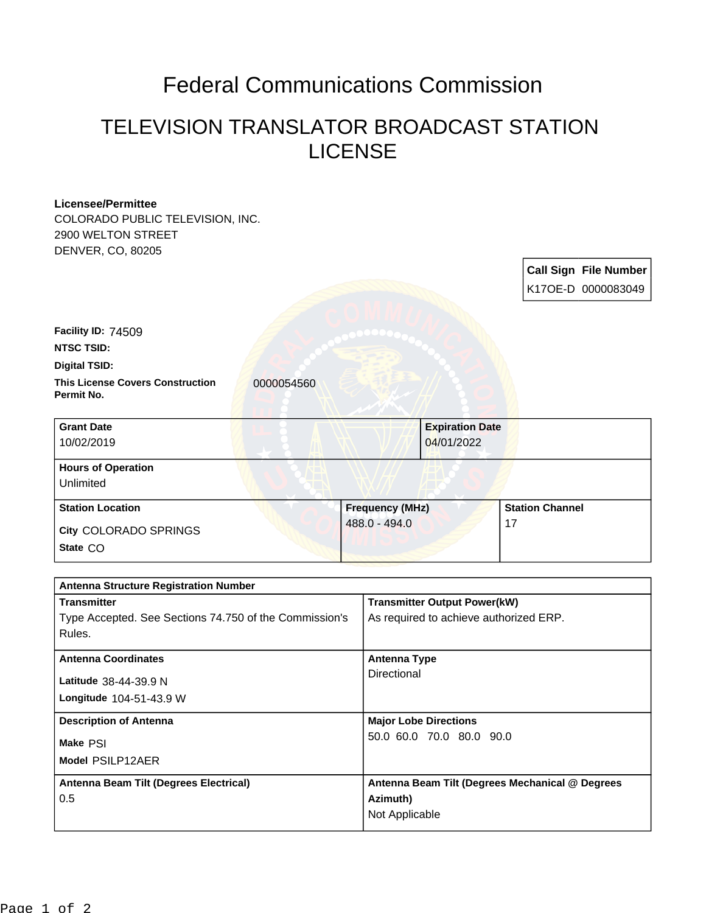## Federal Communications Commission

## TELEVISION TRANSLATOR BROADCAST STATION LICENSE

| <b>Licensee/Permittee</b>                                           |                                                  |                                        |                                                 |  |
|---------------------------------------------------------------------|--------------------------------------------------|----------------------------------------|-------------------------------------------------|--|
| COLORADO PUBLIC TELEVISION, INC.                                    |                                                  |                                        |                                                 |  |
| 2900 WELTON STREET                                                  |                                                  |                                        |                                                 |  |
| DENVER, CO, 80205                                                   |                                                  |                                        |                                                 |  |
|                                                                     |                                                  |                                        | <b>Call Sign File Number</b>                    |  |
|                                                                     |                                                  |                                        | K17OE-D 0000083049                              |  |
|                                                                     |                                                  |                                        |                                                 |  |
| Facility ID: 74509                                                  |                                                  |                                        |                                                 |  |
| <b>NTSC TSID:</b>                                                   |                                                  |                                        |                                                 |  |
| <b>Digital TSID:</b>                                                |                                                  |                                        |                                                 |  |
| <b>This License Covers Construction</b><br>0000054560<br>Permit No. |                                                  |                                        |                                                 |  |
| <b>Grant Date</b>                                                   |                                                  | <b>Expiration Date</b>                 |                                                 |  |
| 10/02/2019                                                          | 04/01/2022                                       |                                        |                                                 |  |
| <b>Hours of Operation</b>                                           |                                                  |                                        |                                                 |  |
| Unlimited                                                           |                                                  |                                        |                                                 |  |
| <b>Station Location</b>                                             | <b>Station Channel</b><br><b>Frequency (MHz)</b> |                                        |                                                 |  |
| City COLORADO SPRINGS                                               | 488.0 - 494.0                                    |                                        | 17                                              |  |
| State CO                                                            |                                                  |                                        |                                                 |  |
|                                                                     |                                                  |                                        |                                                 |  |
| <b>Antenna Structure Registration Number</b>                        |                                                  |                                        |                                                 |  |
| <b>Transmitter</b>                                                  |                                                  | <b>Transmitter Output Power(kW)</b>    |                                                 |  |
| Type Accepted. See Sections 74.750 of the Commission's<br>Rules.    |                                                  | As required to achieve authorized ERP. |                                                 |  |
| <b>Antenna Coordinates</b>                                          |                                                  | <b>Antenna Type</b>                    |                                                 |  |
| Latitude 38-44-39.9 N                                               | Directional                                      |                                        |                                                 |  |
| Longitude 104-51-43.9 W                                             |                                                  |                                        |                                                 |  |
| <b>Description of Antenna</b>                                       |                                                  | <b>Major Lobe Directions</b>           |                                                 |  |
| Make PSI                                                            |                                                  | 50.0 60.0 70.0 80.0 90.0               |                                                 |  |
| Model PSILP12AER                                                    |                                                  |                                        |                                                 |  |
| Antenna Beam Tilt (Degrees Electrical)                              |                                                  |                                        | Antenna Beam Tilt (Degrees Mechanical @ Degrees |  |
| 0.5                                                                 |                                                  | Azimuth)                               |                                                 |  |
|                                                                     | Not Applicable                                   |                                        |                                                 |  |